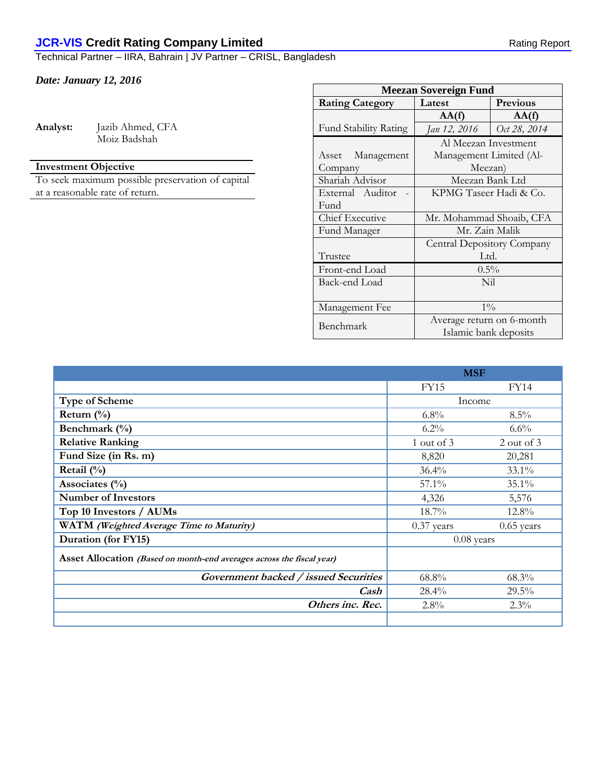## **JCR-VIS Credit Rating Company Limited Rating Report** Rating Report

Technical Partner – IIRA, Bahrain | JV Partner – CRISL, Bangladesh

## *Date: January 12, 2016*

| Analyst: | Jazib Ahmed, CFA |
|----------|------------------|
|          | Moiz Badshah     |

## **Investment Objective**

To seek maximum possible preservation of capital at a reasonable rate of return.

| <b>Meezan Sovereign Fund</b> |                            |                 |  |  |  |
|------------------------------|----------------------------|-----------------|--|--|--|
| <b>Rating Category</b>       | Latest                     | <b>Previous</b> |  |  |  |
|                              | AA(f)                      | AA(f)           |  |  |  |
| <b>Fund Stability Rating</b> | Jan 12, 2016               | Oct 28, 2014    |  |  |  |
|                              | Al Meezan Investment       |                 |  |  |  |
| Asset Management             | Management Limited (Al-    |                 |  |  |  |
| Company                      | Meezan)                    |                 |  |  |  |
| Shariah Advisor              | Meezan Bank Ltd            |                 |  |  |  |
| External Auditor             | KPMG Taseer Hadi & Co.     |                 |  |  |  |
| Fund                         |                            |                 |  |  |  |
| Chief Executive              | Mr. Mohammad Shoaib, CFA   |                 |  |  |  |
| Fund Manager                 | Mr. Zain Malik             |                 |  |  |  |
|                              | Central Depository Company |                 |  |  |  |
| Trustee                      | Ltd.                       |                 |  |  |  |
| Front-end Load               | $0.5\%$                    |                 |  |  |  |
| Back-end Load                | Nil                        |                 |  |  |  |
|                              |                            |                 |  |  |  |
| Management Fee               | $1\%$                      |                 |  |  |  |
| Benchmark                    | Average return on 6-month  |                 |  |  |  |
|                              | Islamic bank deposits      |                 |  |  |  |

|                                                                       | <b>MSF</b>   |              |
|-----------------------------------------------------------------------|--------------|--------------|
|                                                                       | <b>FY15</b>  | <b>FY14</b>  |
| Type of Scheme                                                        | Income       |              |
| Return $(\%)$                                                         | $6.8\%$      | $8.5\%$      |
| Benchmark (%)                                                         | $6.2\%$      | $6.6\%$      |
| <b>Relative Ranking</b>                                               | 1 out of 3   | 2 out of 3   |
| Fund Size (in Rs. m)                                                  | 8,820        | 20,281       |
| Retail $(\%)$                                                         | 36.4%        | 33.1%        |
| Associates $(\% )$                                                    | $57.1\%$     | 35.1%        |
| <b>Number of Investors</b>                                            | 4,326        | 5,576        |
| Top 10 Investors / AUMs                                               | $18.7\%$     | 12.8%        |
| WATM (Weighted Average Time to Maturity)                              | $0.37$ years | $0.65$ years |
| Duration (for FY15)                                                   | $0.08$ years |              |
| Asset Allocation (Based on month-end averages across the fiscal year) |              |              |
| Government backed / issued Securities                                 | 68.8%        | 68.3%        |
| Cash                                                                  | $28.4\%$     | $29.5\%$     |
| Others inc. Rec.                                                      | 2.8%         | $2.3\%$      |
|                                                                       |              |              |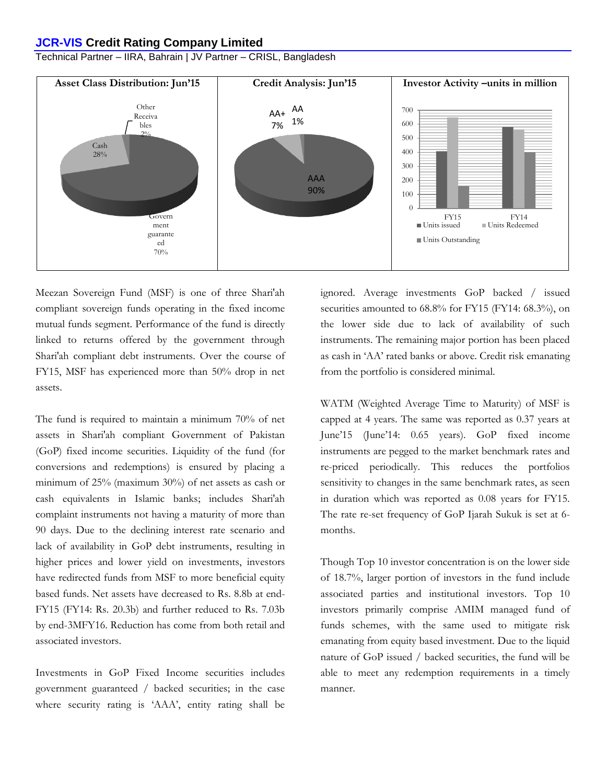#### **JCR-VIS Credit Rating Company Limited**

Technical Partner – IIRA, Bahrain | JV Partner – CRISL, Bangladesh



Meezan Sovereign Fund (MSF) is one of three Shari'ah compliant sovereign funds operating in the fixed income mutual funds segment. Performance of the fund is directly linked to returns offered by the government through Shari'ah compliant debt instruments. Over the course of FY15, MSF has experienced more than 50% drop in net assets.

The fund is required to maintain a minimum 70% of net assets in Shari'ah compliant Government of Pakistan (GoP) fixed income securities. Liquidity of the fund (for conversions and redemptions) is ensured by placing a minimum of 25% (maximum 30%) of net assets as cash or cash equivalents in Islamic banks; includes Shari'ah complaint instruments not having a maturity of more than 90 days. Due to the declining interest rate scenario and lack of availability in GoP debt instruments, resulting in higher prices and lower yield on investments, investors have redirected funds from MSF to more beneficial equity based funds. Net assets have decreased to Rs. 8.8b at end-FY15 (FY14: Rs. 20.3b) and further reduced to Rs. 7.03b by end-3MFY16. Reduction has come from both retail and associated investors.

Investments in GoP Fixed Income securities includes government guaranteed / backed securities; in the case where security rating is 'AAA', entity rating shall be ignored. Average investments GoP backed / issued securities amounted to  $68.8\%$  for FY15 (FY14:  $68.3\%$ ), on the lower side due to lack of availability of such instruments. The remaining major portion has been placed as cash in 'AA' rated banks or above. Credit risk emanating from the portfolio is considered minimal.

WATM (Weighted Average Time to Maturity) of MSF is capped at 4 years. The same was reported as 0.37 years at June'15 (June'14: 0.65 years). GoP fixed income instruments are pegged to the market benchmark rates and re-priced periodically. This reduces the portfolios sensitivity to changes in the same benchmark rates, as seen in duration which was reported as 0.08 years for FY15. The rate re-set frequency of GoP Ijarah Sukuk is set at 6 months.

Though Top 10 investor concentration is on the lower side of 18.7%, larger portion of investors in the fund include associated parties and institutional investors. Top 10 investors primarily comprise AMIM managed fund of funds schemes, with the same used to mitigate risk emanating from equity based investment. Due to the liquid nature of GoP issued / backed securities, the fund will be able to meet any redemption requirements in a timely manner.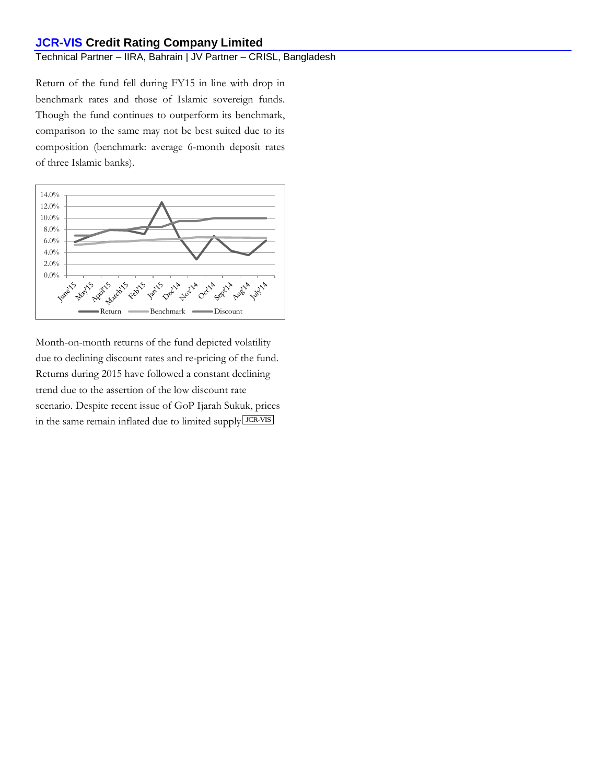### Technical Partner – IIRA, Bahrain | JV Partner – CRISL, Bangladesh

Return of the fund fell during FY15 in line with drop in benchmark rates and those of Islamic sovereign funds. Though the fund continues to outperform its benchmark, comparison to the same may not be best suited due to its composition (benchmark: average 6-month deposit rates of three Islamic banks).



Month-on-month returns of the fund depicted volatility due to declining discount rates and re-pricing of the fund. Returns during 2015 have followed a constant declining trend due to the assertion of the low discount rate scenario. Despite recent issue of GoP Ijarah Sukuk, prices in the same remain inflated due to limited supply LICR-VIS